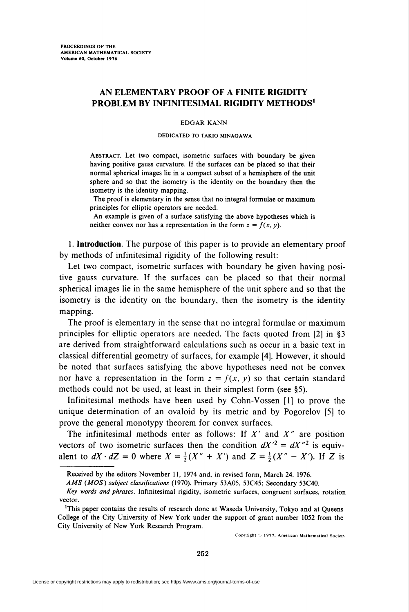# AN ELEMENTARY PROOF OF A FINITE RIGIDITY PROBLEM BY INFINITESIMAL RIGIDITY METHODS<sup>1</sup>

### EDGAR KANN

#### DEDICATED TO TAKIO MINAGAWA

Abstract. Let two compact, isometric surfaces with boundary be given having positive gauss curvature. If the surfaces can be placed so that their normal spherical images lie in a compact subset of a hemisphere of the unit sphere and so that the isometry is the identity on the boundary then the isometry is the identity mapping.

The proof is elementary in the sense that no integral formulae or maximum principles for elliptic operators are needed.

An example is given of a surface satisfying the above hypotheses which is neither convex nor has a representation in the form  $z = f(x, y)$ .

1. Introduction. The purpose of this paper is to provide an elementary proof by methods of infinitesimal rigidity of the following result:

Let two compact, isometric surfaces with boundary be given having positive gauss curvature. If the surfaces can be placed so that their normal spherical images lie in the same hemisphere of the unit sphere and so that the isometry is the identity on the boundary, then the isometry is the identity mapping.

The proof is elementary in the sense that no integral formulae or maximum principles for elliptic operators are needed. The facts quoted from [2] in §3 are derived from straightforward calculations such as occur in a basic text in classical differential geometry of surfaces, for example [4]. However, it should be noted that surfaces satisfying the above hypotheses need not be convex nor have a representation in the form  $z = f(x, y)$  so that certain standard methods could not be used, at least in their simplest form (see §5).

Infinitesimal methods have been used by Cohn-Vossen [1] to prove the unique determination of an ovaloid by its metric and by Pogorelov [5] to prove the general monotypy theorem for convex surfaces.

The infinitesimal methods enter as follows: If  $X'$  and  $X''$  are position vectors of two isometric surfaces then the condition  $dX'^2 = dX''^2$  is equivalent to  $dX \cdot dZ = 0$  where  $X = \frac{1}{2}(X'' + X')$  and  $Z = \frac{1}{2}(X'' - X')$ . If Z is

Copyright  $\Diamond$  1977, American Mathematical Society

Received by the editors November 11, 1974 and, in revised form, March 24. 1976.

AMS (MOS) subject classifications (1970). Primary 53A05, 53C45; Secondary 53C40.

Key words and phrases. Infinitesimal rigidity, isometric surfaces, congruent surfaces, rotation vector.

<sup>&#</sup>x27;This paper contains the results of research done at Waseda University, Tokyo and at Queens College of the City University of New York under the support of grant number 1052 from the City University of New York Research Program.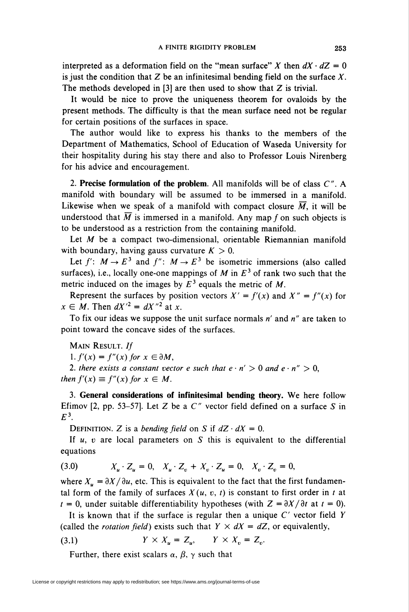interpreted as a deformation field on the "mean surface" X then  $dX \cdot dZ = 0$ is just the condition that  $Z$  be an infinitesimal bending field on the surface  $X$ . The methods developed in  $[3]$  are then used to show that Z is trivial.

It would be nice to prove the uniqueness theorem for ovaloids by the present methods. The difficulty is that the mean surface need not be regular for certain positions of the surfaces in space.

The author would like to express his thanks to the members of the Department of Mathematics, School of Education of Waseda University for their hospitality during his stay there and also to Professor Louis Nirenberg for his advice and encouragement.

2. Precise formulation of the problem. All manifolds will be of class  $C''$ . A manifold with boundary will be assumed to be immersed in a manifold. Likewise when we speak of a manifold with compact closure  $\overline{M}$ , it will be understood that  $\overline{M}$  is immersed in a manifold. Any map f on such objects is to be understood as a restriction from the containing manifold.

Let  $M$  be a compact two-dimensional, orientable Riemannian manifold with boundary, having gauss curvature  $K > 0$ .

Let  $f' : M \rightarrow E^3$  and  $f'' : M \rightarrow E^3$  be isometric immersions (also called surfaces), i.e., locally one-one mappings of M in  $E<sup>3</sup>$  of rank two such that the metric induced on the images by  $E<sup>3</sup>$  equals the metric of M.

Represent the surfaces by position vectors  $X' = f'(x)$  and  $X'' = f''(x)$  for  $x \in M$ . Then  $dX'^2 = dX''^2$  at x.

To fix our ideas we suppose the unit surface normals  $n'$  and  $n''$  are taken to point toward the concave sides of the surfaces.

Main Result. If 1.  $f'(x) = f''(x)$  for  $x \in \partial M$ ,

2. there exists a constant vector e such that  $e \cdot n' > 0$  and  $e \cdot n'' > 0$ , then  $f'(x) \equiv f''(x)$  for  $x \in M$ .

3. General considerations of infinitesimal bending theory. We here follow Efimov [2, pp. 53–57]. Let Z be a  $C''$  vector field defined on a surface S in  $E^3$ .

DEFINITION. Z is a bending field on S if  $dZ \cdot dX = 0$ .

If  $u$ ,  $v$  are local parameters on  $S$  this is equivalent to the differential equations

(3.0) 
$$
X_{u} \cdot Z_{u} = 0, \quad X_{u} \cdot Z_{v} + X_{v} \cdot Z_{u} = 0, \quad X_{v} \cdot Z_{v} = 0,
$$

where  $X_u = \partial X / \partial u$ , etc. This is equivalent to the fact that the first fundamental form of the family of surfaces  $X(u, v, t)$  is constant to first order in t at  $t = 0$ , under suitable differentiability hypotheses (with  $Z = \partial X/\partial t$  at  $t = 0$ ).

It is known that if the surface is regular then a unique  $C'$  vector field Y (called the *rotation field*) exists such that  $Y \times dX = dZ$ , or equivalently,

$$
(3.1) \t\t Y \times X_u = Z_u, \t Y \times X_v = Z_v.
$$

Further, there exist scalars  $\alpha$ ,  $\beta$ ,  $\gamma$  such that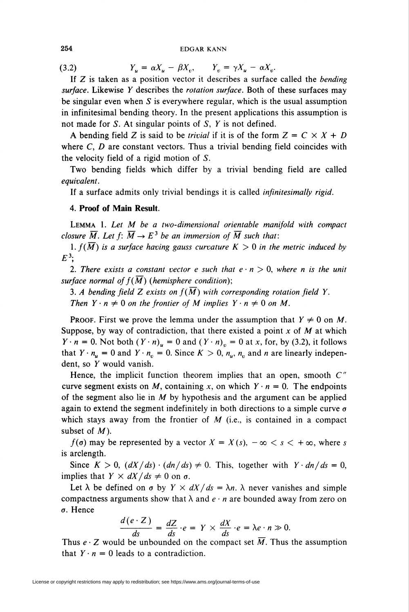### 254 EDGAR KANN

(3.2)  $Y_u = \alpha X_u - \beta X_v, \qquad Y_v = \gamma X_u - \alpha X_v.$ 

If  $Z$  is taken as a position vector it describes a surface called the bending surface. Likewise Y describes the rotation surface. Both of these surfaces may be singular even when  $S$  is everywhere regular, which is the usual assumption in infinitesimal bending theory. In the present applications this assumption is not made for S. At singular points of S, Y is not defined.

A bending field Z is said to be *trivial* if it is of the form  $Z = C \times X + D$ where  $C$ ,  $D$  are constant vectors. Thus a trivial bending field coincides with the velocity field of a rigid motion of S.

Two bending fields which differ by a trivial bending field are called equivalent.

If a surface admits only trivial bendings it is called infinitesimally rigid.

# 4. Proof of Main Result.

Lemma 1. Let M be a two-dimensional orientable manifold with compact closure  $\overline{M}$ . Let  $f: \overline{M} \to E^3$  be an immersion of  $\overline{M}$  such that:

1.  $f(\overline{M})$  is a surface having gauss curvature  $K > 0$  in the metric induced by  $E^3$ :

2. There exists a constant vector e such that  $e \cdot n > 0$ , where n is the unit surface normal of  $f(\overline{M})$  (hemisphere condition);

3. A bending field Z exists on  $f(M)$  with corresponding rotation field Y.

Then  $Y \cdot n \neq 0$  on the frontier of M implies  $Y \cdot n \neq 0$  on M.

**PROOF.** First we prove the lemma under the assumption that  $Y \neq 0$  on M. Suppose, by way of contradiction, that there existed a point  $x$  of  $M$  at which  $Y \cdot n = 0$ . Not both  $(Y \cdot n)_u = 0$  and  $(Y \cdot n)_v = 0$  at x, for, by (3.2), it follows that  $Y \cdot n_u = 0$  and  $Y \cdot n_v = 0$ . Since  $K > 0$ ,  $n_u$ ,  $n_v$  and n are linearly independent, so Y would vanish.

Hence, the implicit function theorem implies that an open, smooth  $C''$ curve segment exists on M, containing x, on which  $Y \cdot n = 0$ . The endpoints of the segment also lie in  $M$  by hypothesis and the argument can be applied again to extend the segment indefinitely in both directions to a simple curve  $\sigma$ which stays away from the frontier of  $M$  (i.e., is contained in a compact subset of  $M$ ).

 $f(\sigma)$  may be represented by a vector  $X = X(s)$ ,  $-\infty < s < +\infty$ , where s is arclength.

Since  $K > 0$ ,  $\left(\frac{dX}{ds}\right) \cdot \left(\frac{dn}{ds}\right) \neq 0$ . This, together with  $Y \cdot \frac{dn}{ds} = 0$ , implies that  $Y \times dX/ds \neq 0$  on  $\sigma$ .

Let  $\lambda$  be defined on  $\sigma$  by  $Y \times dX/ds = \lambda n$ .  $\lambda$  never vanishes and simple compactness arguments show that  $\lambda$  and  $e \cdot n$  are bounded away from zero on o. Hence

$$
\frac{d(e \cdot Z)}{ds} = \frac{dZ}{ds} \cdot e = Y \times \frac{dX}{ds} \cdot e = \lambda e \cdot n \gg 0.
$$

Thus  $e \cdot Z$  would be unbounded on the compact set  $\overline{M}$ . Thus the assumption that  $Y \cdot n = 0$  leads to a contradiction.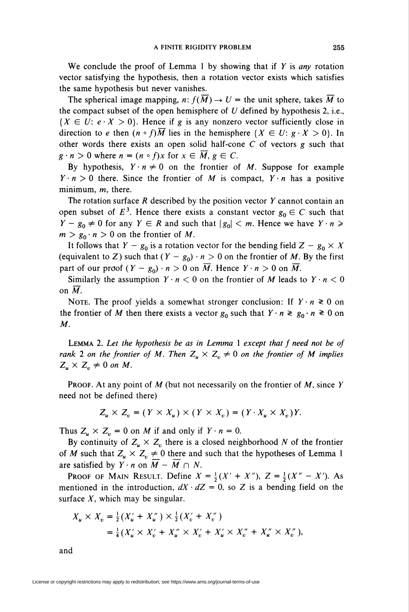We conclude the proof of Lemma 1 by showing that if  $Y$  is any rotation vector satisfying the hypothesis, then a rotation vector exists which satisfies the same hypothesis but never vanishes.

The spherical image mapping, n:  $f(\overline{M}) \to U =$  the unit sphere, takes  $\overline{M}$  to the compact subset of the open hemisphere of  $U$  defined by hypothesis 2, i.e.,  ${X \in U: e \cdot X > 0}$ . Hence if g is any nonzero vector sufficiently close in direction to e then  $(n \circ f)\overline{M}$  lies in the hemisphere  $\{X \in U: g \cdot X > 0\}$ . In other words there exists an open solid half-cone C of vectors g such that  $g \cdot n > 0$  where  $n = (n \circ f)x$  for  $x \in \overline{M}$ ,  $g \in C$ .

By hypothesis,  $Y \cdot n \neq 0$  on the frontier of M. Suppose for example  $Y \cdot n > 0$  there. Since the frontier of M is compact,  $Y \cdot n$  has a positive minimum,  $m$ , there.

The rotation surface  $R$  described by the position vector  $Y$  cannot contain an open subset of  $E^3$ . Hence there exists a constant vector  $g_0 \in C$  such that  $Y - g_0 \neq 0$  for any  $Y \in R$  and such that  $|g_0| < m$ . Hence we have  $Y \cdot n \geq 0$  $m > g_0 \cdot n > 0$  on the frontier of M.

It follows that  $Y - g_0$  is a rotation vector for the bending field  $Z - g_0 \times X$ (equivalent to Z) such that  $(Y - g_0) \cdot n > 0$  on the frontier of M. By the first part of our proof  $(Y - g_0) \cdot n > 0$  on  $\overline{M}$ . Hence  $Y \cdot n > 0$  on  $\overline{M}$ .

Similarly the assumption  $Y \cdot n < 0$  on the frontier of M leads to  $Y \cdot n < 0$ on  $\overline{M}$ .

NOTE. The proof yields a somewhat stronger conclusion: If  $Y \cdot n \ge 0$  on the frontier of M then there exists a vector  $g_0$  such that  $Y \cdot n \ge g_0 \cdot n \ge 0$  on M.

LEMMA 2. Let the hypothesis be as in Lemma  $1$  except that  $f$  need not be of rank 2 on the frontier of M. Then  $Z_u \times Z_v \neq 0$  on the frontier of M implies  $Z_{\mu} \times Z_{\nu} \neq 0$  on M.

**PROOF.** At any point of  $M$  (but not necessarily on the frontier of  $M$ , since  $Y$ need not be defined there)

$$
Z_u \times Z_v = (Y \times X_u) \times (Y \times X_v) = (Y \cdot X_u \times X_v)Y.
$$

Thus  $Z_u \times Z_v = 0$  on *M* if and only if  $Y \cdot n = 0$ .

By continuity of  $Z_u \times Z_v$  there is a closed neighborhood N of the frontier of M such that  $Z_u \times Z_v \neq 0$  there and such that the hypotheses of Lemma 1 are satisfied by  $Y \cdot n$  on  $\overline{M} - \overline{M} \cap N$ .

**PROOF OF MAIN RESULT. Define**  $X = \frac{1}{2}(X' + X'')$ ,  $Z = \frac{1}{2}(X'' - X')$ . As mentioned in the introduction,  $dX \cdot dZ = 0$ , so Z is a bending field on the surface  $X$ , which may be singular.

$$
X_u \times X_v = \frac{1}{2} (X'_u + X''_u) \times \frac{1}{2} (X'_v + X''_v)
$$
  
=  $\frac{1}{4} (X'_u \times X'_v + X''_u \times X'_v + X'_u \times X''_v + X''_u \times X''_v),$ 

and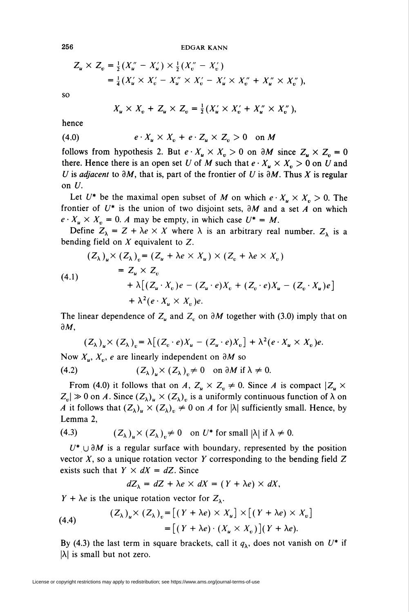$$
Z_{u} \times Z_{v} = \frac{1}{2} (X_{u}'' - X_{u}') \times \frac{1}{2} (X_{v}'' - X_{v}')
$$
  
=  $\frac{1}{4} (X_{u}' \times X_{v}' - X_{u}'' \times X_{v}' - X_{u}' \times X_{v}'' + X_{u}'' \times X_{v}''),$ 

so

$$
X_u \times X_v + Z_u \times Z_v = \frac{1}{2}(X'_u \times X'_v + X''_u \times X''_v),
$$

hence

$$
(4.0) \t\t e \cdot X_u \times X_v + e \cdot Z_u \times Z_v > 0 \quad \text{on } M
$$

follows from hypothesis 2. But  $e \cdot X_u \times X_v > 0$  on  $\partial M$  since  $Z_u \times Z_v = 0$ there. Hence there is an open set U of M such that  $e \cdot X_u \times X_v > 0$  on U and U is adjacent to  $\partial M$ , that is, part of the frontier of U is  $\partial M$ . Thus X is regular on U.

Let  $U^*$  be the maximal open subset of M on which  $e \cdot X_u \times X_v > 0$ . The frontier of  $U^*$  is the union of two disjoint sets,  $\partial M$  and a set A on which  $e \cdot X_u \times X_v = 0$ . A may be empty, in which case  $U^* = M$ .

Define  $Z_{\lambda} = Z + \lambda e \times X$  where  $\lambda$  is an arbitrary real number.  $Z_{\lambda}$  is a bending field on  $X$  equivalent to  $Z$ .

$$
(Z_{\lambda})_{u} \times (Z_{\lambda})_{v} = (Z_{u} + \lambda e \times X_{u}) \times (Z_{v} + \lambda e \times X_{v})
$$
  
= Z\_{u} \times Z\_{v}  
+ \lambda [(Z\_{u} \cdot X\_{v})e - (Z\_{u} \cdot e)X\_{v} + (Z\_{v} \cdot e)X\_{u} - (Z\_{v} \cdot X\_{u})e]  
+ \lambda^{2} (e \cdot X\_{u} \times X\_{v})e.

The linear dependence of  $Z_u$  and  $Z_c$  on  $\partial M$  together with (3.0) imply that on  $\partial M$ ,

$$
(Z_{\lambda})_{u} \times (Z_{\lambda})_{v} = \lambda [(Z_{v} \cdot e)X_{u} - (Z_{u} \cdot e)X_{v}] + \lambda^{2} (e \cdot X_{u} \times X_{v})e.
$$

Now  $X_u$ ,  $X_v$ , e are linearly independent on  $\partial M$  so

(4.2) 
$$
(Z_{\lambda})_{\mu} \times (Z_{\lambda})_{v} \neq 0 \text{ on } \partial M \text{ if } \lambda \neq 0
$$

From (4.0) it follows that on A,  $Z_u \times Z_v \neq 0$ . Since A is compact  $|Z_u \times Z_u|$  $Z_v\vert \gg 0$  on A. Since  $(Z_\lambda)_u \times (Z_\lambda)_v$  is a uniformly continuous function of  $\lambda$  on A it follows that  $(Z_{\lambda})_{\mu} \times (Z_{\lambda})_{\nu} \neq 0$  on A for  $|\lambda|$  sufficiently small. Hence, by Lemma 2,

(4.3) 
$$
(Z_{\lambda})_{\mu} \times (Z_{\lambda})_{\nu} \neq 0 \text{ on } U^* \text{ for small } |\lambda| \text{ if } \lambda \neq 0.
$$

 $U^* \cup \partial M$  is a regular surface with boundary, represented by the position vector  $X$ , so a unique rotation vector  $Y$  corresponding to the bending field  $Z$ exists such that  $Y \times dX = dZ$ . Since

$$
dZ_{\lambda} = dZ + \lambda e \times dX = (Y + \lambda e) \times dX,
$$

 $Y + \lambda e$  is the unique rotation vector for  $Z_{\lambda}$ .

(4.4) 
$$
(Z_{\lambda})_{u} \times (Z_{\lambda})_{v} = [(Y + \lambda e) \times X_{u}] \times [(Y + \lambda e) \times X_{v}]
$$

$$
= [(Y + \lambda e) \cdot (X_{u} \times X_{v})](Y + \lambda e).
$$

By (4.3) the last term in square brackets, call it  $q_{\lambda}$ , does not vanish on  $U^*$  if  $|\lambda|$  is small but not zero.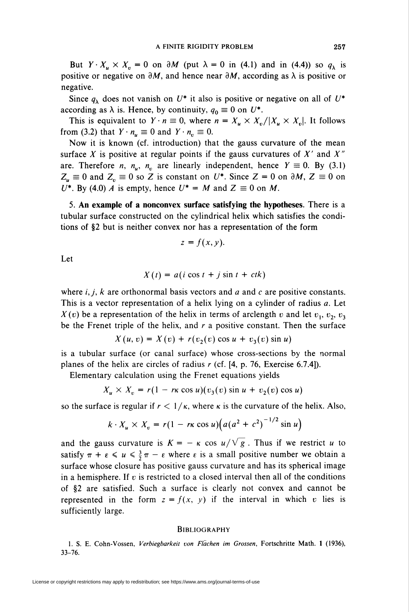But  $Y \cdot X_u \times X_v = 0$  on  $\partial M$  (put  $\lambda = 0$  in (4.1) and in (4.4)) so  $q_{\lambda}$  is positive or negative on  $\partial M$ , and hence near  $\partial M$ , according as  $\lambda$  is positive or negative.

Since  $q_{\lambda}$  does not vanish on  $U^*$  it also is positive or negative on all of  $U^*$ according as  $\lambda$  is. Hence, by continuity,  $q_0 \equiv 0$  on  $U^*$ .

This is equivalent to  $Y \cdot n \equiv 0$ , where  $n = X_u \times X_v / |X_u \times X_v|$ . It follows from (3.2) that  $Y \cdot n_u \equiv 0$  and  $Y \cdot n_v \equiv 0$ .

Now it is known (cf. introduction) that the gauss curvature of the mean surface X is positive at regular points if the gauss curvatures of  $X'$  and  $X''$ are. Therefore *n*,  $n_{\mu}$ ,  $n_{\nu}$  are linearly independent, hence  $Y \equiv 0$ . By (3.1)  $Z_u \equiv 0$  and  $Z_v \equiv 0$  so Z is constant on U<sup>\*</sup>. Since  $Z = 0$  on  $\partial M$ ,  $Z \equiv 0$  on U<sup>\*</sup>. By (4.0) A is empty, hence  $U^* = M$  and  $Z \equiv 0$  on M.

5. An example of a nonconvex surface satisfying the hypotheses. There is a tubular surface constructed on the cylindrical helix which satisfies the conditions of §2 but is neither convex nor has a representation of the form

$$
z=f(x,y).
$$

Let

$$
X(t) = a(i \cos t + j \sin t + ctk)
$$

where  $i, j, k$  are orthonormal basis vectors and a and c are positive constants. This is a vector representation of a helix lying on a cylinder of radius a. Let  $X(v)$  be a representation of the helix in terms of arclength v and let  $v_1, v_2, v_3$ be the Frenet triple of the helix, and  $r$  a positive constant. Then the surface

 $X(u, v) = X(v) + r(v_2(v) \cos u + v_3(v) \sin u)$ 

is a tubular surface (or canal surface) whose cross-sections by the normal planes of the helix are circles of radius  $r$  (cf. [4, p. 76, Exercise 6.7.4]).

Elementary calculation using the Frenet equations yields

$$
X_u \times X_v = r(1 - r\kappa \cos u)(v_3(v) \sin u + v_2(v) \cos u)
$$

so the surface is regular if  $r < 1/\kappa$ , where  $\kappa$  is the curvature of the helix. Also,

$$
k \cdot X_u \times X_v = r(1 - r\kappa \cos u)\left(a(a^2 + c^2)^{-1/2} \sin u\right)
$$

and the gauss curvature is  $K = -\kappa \cos u / \sqrt{g}$ . Thus if we restrict u to satisfy  $\pi + \varepsilon \leq u \leq \frac{3}{2}\pi - \varepsilon$  where  $\varepsilon$  is a small positive number we obtain a surface whose closure has positive gauss curvature and has its spherical image in a hemisphere. If  $v$  is restricted to a closed interval then all of the conditions of §2 are satisfied. Such a surface is clearly not convex and cannot be represented in the form  $z = f(x, y)$  if the interval in which v lies is sufficiently large.

### **BIBLIOGRAPHY**

1. S. E. Cohn-Vossen, Verbiegbarkeit von Flächen im Grossen, Fortschritte Math. 1 (1936), 33-76.

License or copyright restrictions may apply to redistribution; see https://www.ams.org/journal-terms-of-use